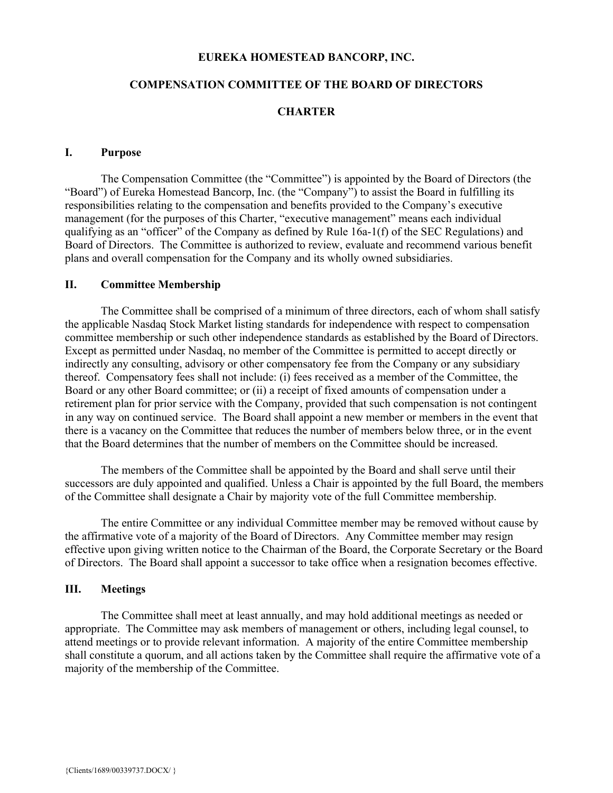### **EUREKA HOMESTEAD BANCORP, INC.**

#### **COMPENSATION COMMITTEE OF THE BOARD OF DIRECTORS**

#### **CHARTER**

#### **I. Purpose**

The Compensation Committee (the "Committee") is appointed by the Board of Directors (the "Board") of Eureka Homestead Bancorp, Inc. (the "Company") to assist the Board in fulfilling its responsibilities relating to the compensation and benefits provided to the Company's executive management (for the purposes of this Charter, "executive management" means each individual qualifying as an "officer" of the Company as defined by Rule 16a-1(f) of the SEC Regulations) and Board of Directors. The Committee is authorized to review, evaluate and recommend various benefit plans and overall compensation for the Company and its wholly owned subsidiaries.

### **II. Committee Membership**

The Committee shall be comprised of a minimum of three directors, each of whom shall satisfy the applicable Nasdaq Stock Market listing standards for independence with respect to compensation committee membership or such other independence standards as established by the Board of Directors. Except as permitted under Nasdaq, no member of the Committee is permitted to accept directly or indirectly any consulting, advisory or other compensatory fee from the Company or any subsidiary thereof. Compensatory fees shall not include: (i) fees received as a member of the Committee, the Board or any other Board committee; or (ii) a receipt of fixed amounts of compensation under a retirement plan for prior service with the Company, provided that such compensation is not contingent in any way on continued service. The Board shall appoint a new member or members in the event that there is a vacancy on the Committee that reduces the number of members below three, or in the event that the Board determines that the number of members on the Committee should be increased.

The members of the Committee shall be appointed by the Board and shall serve until their successors are duly appointed and qualified. Unless a Chair is appointed by the full Board, the members of the Committee shall designate a Chair by majority vote of the full Committee membership.

The entire Committee or any individual Committee member may be removed without cause by the affirmative vote of a majority of the Board of Directors. Any Committee member may resign effective upon giving written notice to the Chairman of the Board, the Corporate Secretary or the Board of Directors. The Board shall appoint a successor to take office when a resignation becomes effective.

## **III. Meetings**

The Committee shall meet at least annually, and may hold additional meetings as needed or appropriate. The Committee may ask members of management or others, including legal counsel, to attend meetings or to provide relevant information. A majority of the entire Committee membership shall constitute a quorum, and all actions taken by the Committee shall require the affirmative vote of a majority of the membership of the Committee.